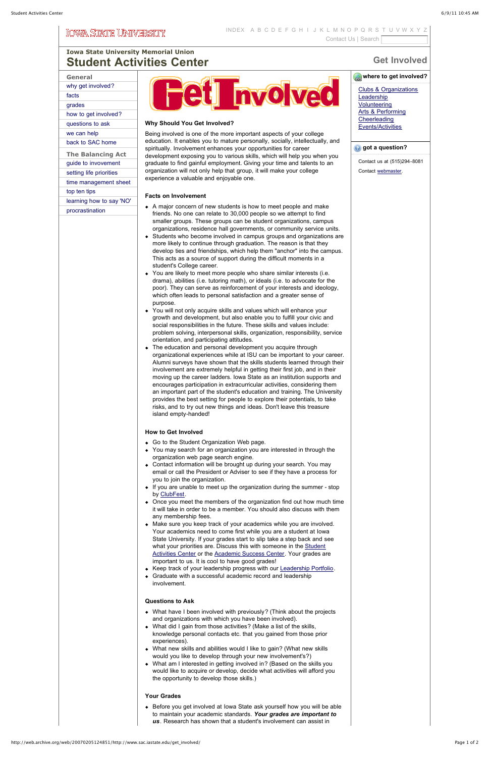# **Get Involved**

# *where to get involved?*

# **[Iowa State University Memorial Union](http://web.archive.org/web/20070205124851/http://www.mu.iastate.edu/) [Student Activities Center](http://web.archive.org/web/20070205124851/http://www.sac.iastate.edu/)**

| General                  |
|--------------------------|
| why get involved?        |
| facts                    |
| grades                   |
| how to get involved?     |
| questions to ask         |
| we can help              |
| back to SAC home         |
| <b>The Balancing Act</b> |
| guide to invovement      |
| setting life priorities  |
| time management sheet    |
| top ten tips             |
| learning how to say 'NO' |
| procrastination          |
|                          |
|                          |



### **Why Should You Get Involved?**

Being involved is one of the more important aspects of your college education. It enables you to mature personally, socially, intellectually, and spiritually. Involvement enhances your opportunities for career development exposing you to various skills, which will help you when you graduate to find gainful employment. Giving your time and talents to an organization will not only help that group, it will make your college experience a valuable and enjoyable one.

## **Facts on Involvement**

- Go to the Student Organization Web page.
- You may search for an organization you are interested in through the organization web page search engine.
- Contact information will be brought up during your search. You may email or call the President or Adviser to see if they have a process for you to join the organization.
- If you are unable to meet up the organization during the summer stop by [ClubFest.](http://web.archive.org/web/20070205124851/http://www.sac.iastate.edu/clubfest/homepage.html)
- Once you meet the members of the organization find out how much time it will take in order to be a member. You should also discuss with them any membership fees.
- Make sure you keep track of your academics while you are involved. Your academics need to come first while you are a student at Iowa State University. If your grades start to slip take a step back and see what your priorities are. Discuss this with someone in the Student [Activities Center or the Academic Success Center. Your grades ar](http://web.archive.org/web/20070205124851/http://www.sac.iastate.edu/)e
- A major concern of new students is how to meet people and make friends. No one can relate to 30,000 people so we attempt to find smaller groups. These groups can be student organizations, campus organizations, residence hall governments, or community service units.
- Students who become involved in campus groups and organizations are more likely to continue through graduation. The reason is that they develop ties and friendships, which help them "anchor" into the campus. This acts as a source of support during the difficult moments in a student's College career.
- You are likely to meet more people who share similar interests (i.e. drama), abilities (i.e. tutoring math), or ideals (i.e. to advocate for the poor). They can serve as reinforcement of your interests and ideology, which often leads to personal satisfaction and a greater sense of purpose.
- You will not only acquire skills and values which will enhance your growth and development, but also enable you to fulfill your civic and social responsibilities in the future. These skills and values include: problem solving, interpersonal skills, organization, responsibility, service orientation, and participating attitudes.
- The education and personal development you acquire through organizational experiences while at ISU can be important to your career. Alumni surveys have shown that the skills students learned through their involvement are extremely helpful in getting their first job, and in their moving up the career ladders. Iowa State as an institution supports and encourages participation in extracurricular activities, considering them an important part of the student's education and training. The University provides the best setting for people to explore their potentials, to take risks, and to try out new things and ideas. Don't leave this treasure island empty-handed!

- Keep track of your leadership progress with our [Leadership Portfolio.](http://web.archive.org/web/20070205124851/http://www.sac.iastate.edu/images/ldrsport.doc)
- Graduate with a successful academic record and leadership involvement.

• Before you get involved at Iowa State ask yourself how you will be able to maintain your academic standards. *Your grades are important to us*. Research has shown that a student's involvement can assist in

## **How to Get Involved**

### important to us. It is cool to have good grades!

#### **Questions to Ask**

- What have I been involved with previously? (Think about the projects and organizations with which you have been involved).
- What did I gain from those activities? (Make a list of the skills, knowledge personal contacts etc. that you gained from those prior experiences).
- What new skills and abilities would I like to gain? (What new skills would you like to develop through your new involvement's?)
- What am I interested in getting involved in? (Based on the skills you would like to acquire or develop, decide what activities will afford you the opportunity to develop those skills.)

#### **Your Grades**

[Clubs & Organizations](http://web.archive.org/web/20070205124851/http://sodb.stuorg.iastate.edu/) **[Leadership](http://web.archive.org/web/20070205124851/http://www.sac.iastate.edu/leadership.html) [Volunteering](http://web.archive.org/web/20070205124851/http://www.sac.iastate.edu/Volunteer/volun.htm)** [Arts & Performing](http://web.archive.org/web/20070205124851/http://www.sac.iastate.edu/get_involved/performing_arts.htm) **[Cheerleading](http://web.archive.org/web/20070205124851/http://www.sac.iastate.edu/get_involved/)** [Events/Activities](http://web.archive.org/web/20070205124851/http://www.sac.iastate.edu/calendars.htm)

### **<sup>***g***</sup>** got a question?

Contact us at (515)294-8081

Contact [webmaster](mailto:limminho@iastate.edu).